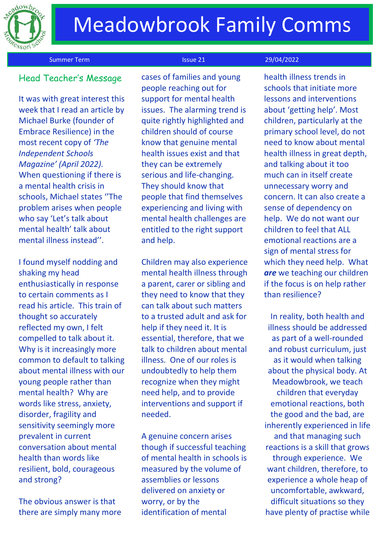

### Summer Term **Issue 21** 29/04/2022

## Head Teacher's Messag<sup>e</sup>

It was with great interest this week that I read an article by Michael Burke (founder of Embrace Resilience) in the most recent copy of *'The Independent Schools Magazine' (April 2022).*  When questioning if there is a mental health crisis in schools, Michael states ''The problem arises when people who say 'Let's talk about mental health' talk about mental illness instead''.

I found myself nodding and shaking my head enthusiastically in response to certain comments as I read his article. This train of thought so accurately reflected my own, I felt compelled to talk about it. Why is it increasingly more common to default to talking about mental illness with our young people rather than mental health? Why are words like stress, anxiety, disorder, fragility and sensitivity seemingly more prevalent in current conversation about mental health than words like resilient, bold, courageous and strong?

The obvious answer is that there are simply many more

cases of families and young people reaching out for support for mental health issues. The alarming trend is quite rightly highlighted and children should of course know that genuine mental health issues exist and that they can be extremely serious and life-changing. They should know that people that find themselves experiencing and living with mental health challenges are entitled to the right support and help.

Children may also experience mental health illness through a parent, carer or sibling and they need to know that they can talk about such matters to a trusted adult and ask for help if they need it. It is essential, therefore, that we talk to children about mental illness. One of our roles is undoubtedly to help them recognize when they might need help, and to provide interventions and support if needed.

A genuine concern arises though if successful teaching of mental health in schools is measured by the volume of assemblies or lessons delivered on anxiety or worry, or by the identification of mental

health illness trends in schools that initiate more lessons and interventions about 'getting help'. Most children, particularly at the primary school level, do not need to know about mental health illness in great depth, and talking about it too much can in itself create unnecessary worry and concern. It can also create a sense of dependency on help. We do not want our children to feel that ALL emotional reactions are a sign of mental stress for which they need help. What *are* we teaching our children if the focus is on help rather than resilience?

In reality, both health and illness should be addressed as part of a well-rounded and robust curriculum, just as it would when talking about the physical body. At Meadowbrook, we teach children that everyday emotional reactions, both the good and the bad, are inherently experienced in life and that managing such reactions is a skill that grows through experience. We want children, therefore, to experience a whole heap of uncomfortable, awkward, difficult situations so they have plenty of practise while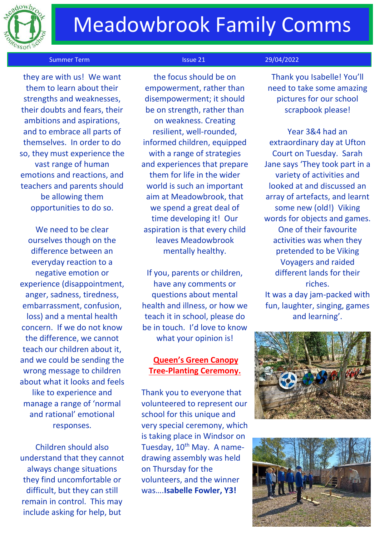

# Meadowbrook Family Comms

### Summer Term **Issue 21** 29/04/2022

 they are with us! We want them to learn about their strengths and weaknesses, their doubts and fears, their ambitions and aspirations, and to embrace all parts of themselves. In order to do so, they must experience the vast range of human emotions and reactions, and teachers and parents should be allowing them opportunities to do so.

We need to be clear ourselves though on the difference between an everyday reaction to a negative emotion or experience (disappointment, anger, sadness, tiredness, embarrassment, confusion, loss) and a mental health concern. If we do not know the difference, we cannot teach our children about it, and we could be sending the wrong message to children about what it looks and feels like to experience and manage a range of 'normal and rational' emotional responses.

Children should also understand that they cannot always change situations they find uncomfortable or difficult, but they can still remain in control. This may include asking for help, but

the focus should be on empowerment, rather than disempowerment; it should be on strength, rather than on weakness. Creating resilient, well-rounded, informed children, equipped with a range of strategies and experiences that prepare them for life in the wider world is such an important aim at Meadowbrook, that we spend a great deal of time developing it! Our aspiration is that every child leaves Meadowbrook mentally healthy.

If you, parents or children, have any comments or questions about mental health and illness, or how we teach it in school, please do be in touch. I'd love to know what your opinion is!

## **Queen's Green Canopy Tree-Planting Ceremony.**

Thank you to everyone that volunteered to represent our school for this unique and very special ceremony, which is taking place in Windsor on Tuesday, 10<sup>th</sup> May. A namedrawing assembly was held on Thursday for the volunteers, and the winner was….**Isabelle Fowler, Y3!**

Thank you Isabelle! You'll need to take some amazing pictures for our school scrapbook please!

Year 3&4 had an extraordinary day at Ufton Court on Tuesday. Sarah Jane says 'They took part in a variety of activities and looked at and discussed an array of artefacts, and learnt some new (old!) Viking words for objects and games. One of their favourite activities was when they pretended to be Viking Voyagers and raided different lands for their riches.

It was a day jam-packed with fun, laughter, singing, games and learning'.